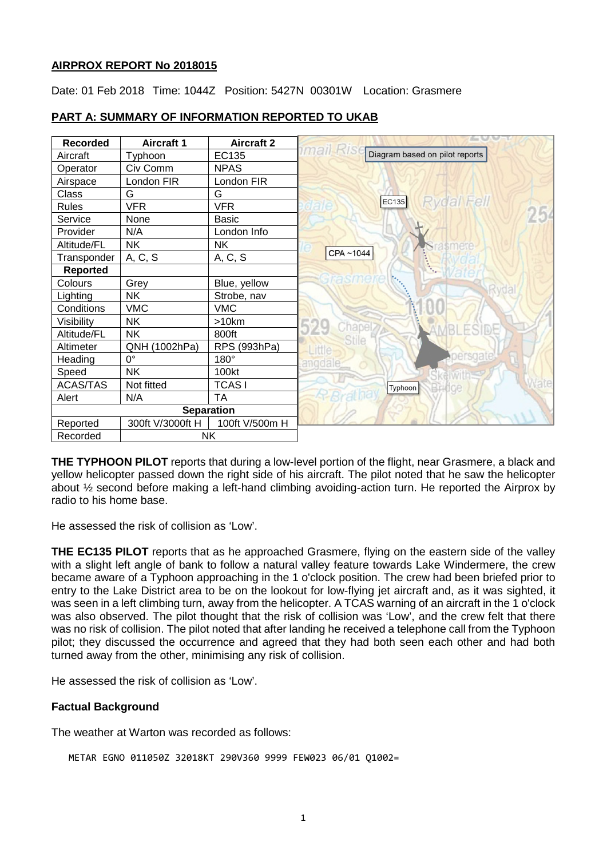## **AIRPROX REPORT No 2018015**

Date: 01 Feb 2018 Time: 1044Z Position: 5427N 00301W Location: Grasmere



# **PART A: SUMMARY OF INFORMATION REPORTED TO UKAB**

**THE TYPHOON PILOT** reports that during a low-level portion of the flight, near Grasmere, a black and yellow helicopter passed down the right side of his aircraft. The pilot noted that he saw the helicopter about ½ second before making a left-hand climbing avoiding-action turn. He reported the Airprox by radio to his home base.

He assessed the risk of collision as 'Low'.

**THE EC135 PILOT** reports that as he approached Grasmere, flying on the eastern side of the valley with a slight left angle of bank to follow a natural valley feature towards Lake Windermere, the crew became aware of a Typhoon approaching in the 1 o'clock position. The crew had been briefed prior to entry to the Lake District area to be on the lookout for low-flying jet aircraft and, as it was sighted, it was seen in a left climbing turn, away from the helicopter. A TCAS warning of an aircraft in the 1 o'clock was also observed. The pilot thought that the risk of collision was 'Low', and the crew felt that there was no risk of collision. The pilot noted that after landing he received a telephone call from the Typhoon pilot; they discussed the occurrence and agreed that they had both seen each other and had both turned away from the other, minimising any risk of collision.

He assessed the risk of collision as 'Low'.

## **Factual Background**

The weather at Warton was recorded as follows:

```
METAR EGNO 011050Z 32018KT 290V360 9999 FEW023 06/01 Q1002=
```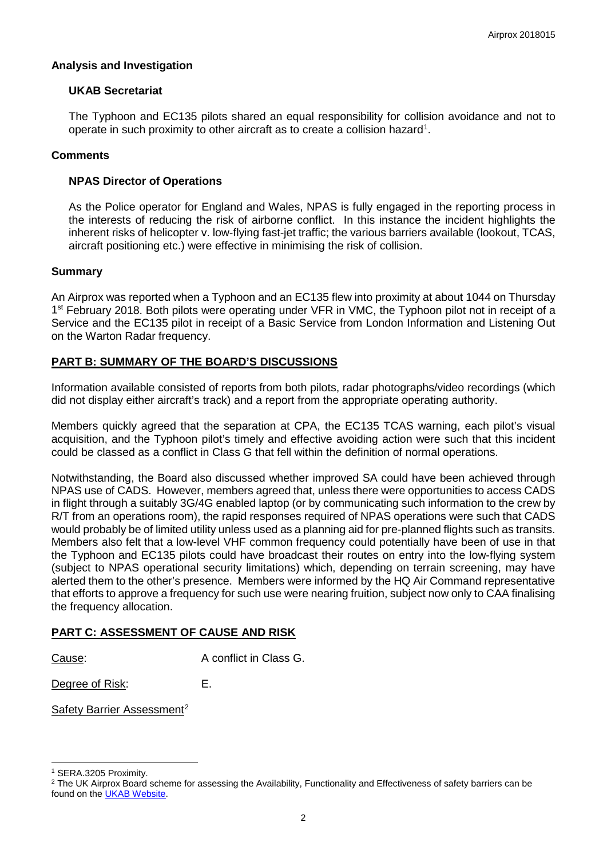## **Analysis and Investigation**

## **UKAB Secretariat**

The Typhoon and EC135 pilots shared an equal responsibility for collision avoidance and not to operate in such proximity to other aircraft as to create a collision hazard<sup>[1](#page-1-0)</sup>.

## **Comments**

#### **NPAS Director of Operations**

As the Police operator for England and Wales, NPAS is fully engaged in the reporting process in the interests of reducing the risk of airborne conflict. In this instance the incident highlights the inherent risks of helicopter v. low-flying fast-jet traffic; the various barriers available (lookout, TCAS, aircraft positioning etc.) were effective in minimising the risk of collision.

#### **Summary**

An Airprox was reported when a Typhoon and an EC135 flew into proximity at about 1044 on Thursday 1<sup>st</sup> February 2018. Both pilots were operating under VFR in VMC, the Typhoon pilot not in receipt of a Service and the EC135 pilot in receipt of a Basic Service from London Information and Listening Out on the Warton Radar frequency.

## **PART B: SUMMARY OF THE BOARD'S DISCUSSIONS**

Information available consisted of reports from both pilots, radar photographs/video recordings (which did not display either aircraft's track) and a report from the appropriate operating authority.

Members quickly agreed that the separation at CPA, the EC135 TCAS warning, each pilot's visual acquisition, and the Typhoon pilot's timely and effective avoiding action were such that this incident could be classed as a conflict in Class G that fell within the definition of normal operations.

Notwithstanding, the Board also discussed whether improved SA could have been achieved through NPAS use of CADS. However, members agreed that, unless there were opportunities to access CADS in flight through a suitably 3G/4G enabled laptop (or by communicating such information to the crew by R/T from an operations room), the rapid responses required of NPAS operations were such that CADS would probably be of limited utility unless used as a planning aid for pre-planned flights such as transits. Members also felt that a low-level VHF common frequency could potentially have been of use in that the Typhoon and EC135 pilots could have broadcast their routes on entry into the low-flying system (subject to NPAS operational security limitations) which, depending on terrain screening, may have alerted them to the other's presence. Members were informed by the HQ Air Command representative that efforts to approve a frequency for such use were nearing fruition, subject now only to CAA finalising the frequency allocation.

## **PART C: ASSESSMENT OF CAUSE AND RISK**

Cause: A conflict in Class G.

Degree of Risk: E.

Safety Barrier Assessment<sup>[2](#page-1-1)</sup>

 $\overline{\phantom{a}}$ 

<span id="page-1-0"></span><sup>1</sup> SERA.3205 Proximity.

<span id="page-1-1"></span><sup>&</sup>lt;sup>2</sup> The UK Airprox Board scheme for assessing the Availability, Functionality and Effectiveness of safety barriers can be found on the **UKAB Website**.